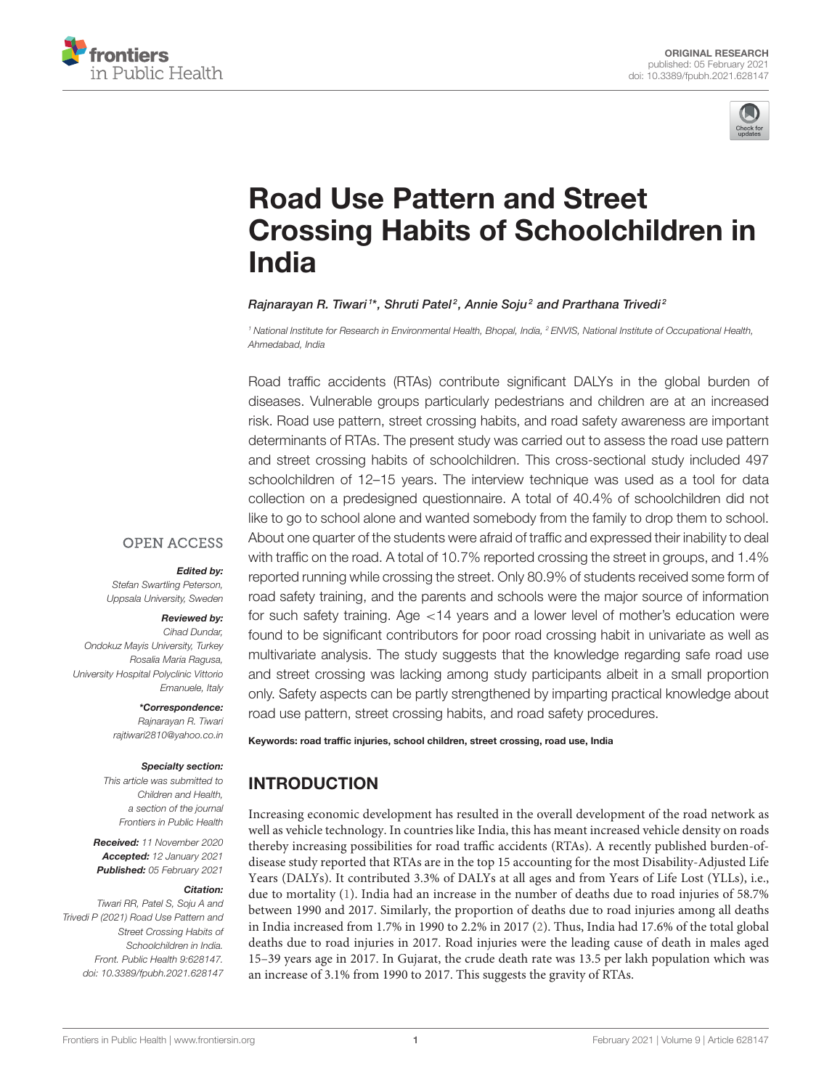



# Road Use Pattern and Street [Crossing Habits of Schoolchildren in](https://www.frontiersin.org/articles/10.3389/fpubh.2021.628147/full) India

#### Rajnarayan R. Tiwari <sup>1\*</sup>, Shruti Patel<sup>2</sup>, Annie Soju<sup>2</sup> and Prarthana Trivedi<sup>2</sup>

*<sup>1</sup> National Institute for Research in Environmental Health, Bhopal, India, <sup>2</sup> ENVIS, National Institute of Occupational Health, Ahmedabad, India*

Road traffic accidents (RTAs) contribute significant DALYs in the global burden of diseases. Vulnerable groups particularly pedestrians and children are at an increased risk. Road use pattern, street crossing habits, and road safety awareness are important determinants of RTAs. The present study was carried out to assess the road use pattern and street crossing habits of schoolchildren. This cross-sectional study included 497 schoolchildren of 12–15 years. The interview technique was used as a tool for data collection on a predesigned questionnaire. A total of 40.4% of schoolchildren did not like to go to school alone and wanted somebody from the family to drop them to school. About one quarter of the students were afraid of traffic and expressed their inability to deal with traffic on the road. A total of 10.7% reported crossing the street in groups, and 1.4% reported running while crossing the street. Only 80.9% of students received some form of road safety training, and the parents and schools were the major source of information for such safety training. Age <14 years and a lower level of mother's education were found to be significant contributors for poor road crossing habit in univariate as well as multivariate analysis. The study suggests that the knowledge regarding safe road use and street crossing was lacking among study participants albeit in a small proportion only. Safety aspects can be partly strengthened by imparting practical knowledge about road use pattern, street crossing habits, and road safety procedures.

Keywords: road traffic injuries, school children, street crossing, road use, India

## INTRODUCTION

Increasing economic development has resulted in the overall development of the road network as well as vehicle technology. In countries like India, this has meant increased vehicle density on roads thereby increasing possibilities for road traffic accidents (RTAs). A recently published burden-ofdisease study reported that RTAs are in the top 15 accounting for the most Disability-Adjusted Life Years (DALYs). It contributed 3.3% of DALYs at all ages and from Years of Life Lost (YLLs), i.e., due to mortality [\(1\)](#page-5-0). India had an increase in the number of deaths due to road injuries of 58.7% between 1990 and 2017. Similarly, the proportion of deaths due to road injuries among all deaths in India increased from 1.7% in 1990 to 2.2% in 2017 [\(2\)](#page-5-1). Thus, India had 17.6% of the total global deaths due to road injuries in 2017. Road injuries were the leading cause of death in males aged 15–39 years age in 2017. In Gujarat, the crude death rate was 13.5 per lakh population which was an increase of 3.1% from 1990 to 2017. This suggests the gravity of RTAs.

### **OPEN ACCESS**

#### Edited by:

*Stefan Swartling Peterson, Uppsala University, Sweden*

#### Reviewed by:

*Cihad Dundar, Ondokuz Mayis University, Turkey Rosalia Maria Ragusa, University Hospital Polyclinic Vittorio Emanuele, Italy*

\*Correspondence:

*Rajnarayan R. Tiwari [rajtiwari2810@yahoo.co.in](mailto:rajtiwari2810@yahoo.co.in)*

#### Specialty section:

*This article was submitted to Children and Health, a section of the journal Frontiers in Public Health*

Received: *11 November 2020* Accepted: *12 January 2021* Published: *05 February 2021*

#### Citation:

*Tiwari RR, Patel S, Soju A and Trivedi P (2021) Road Use Pattern and Street Crossing Habits of Schoolchildren in India. Front. Public Health 9:628147. doi: [10.3389/fpubh.2021.628147](https://doi.org/10.3389/fpubh.2021.628147)*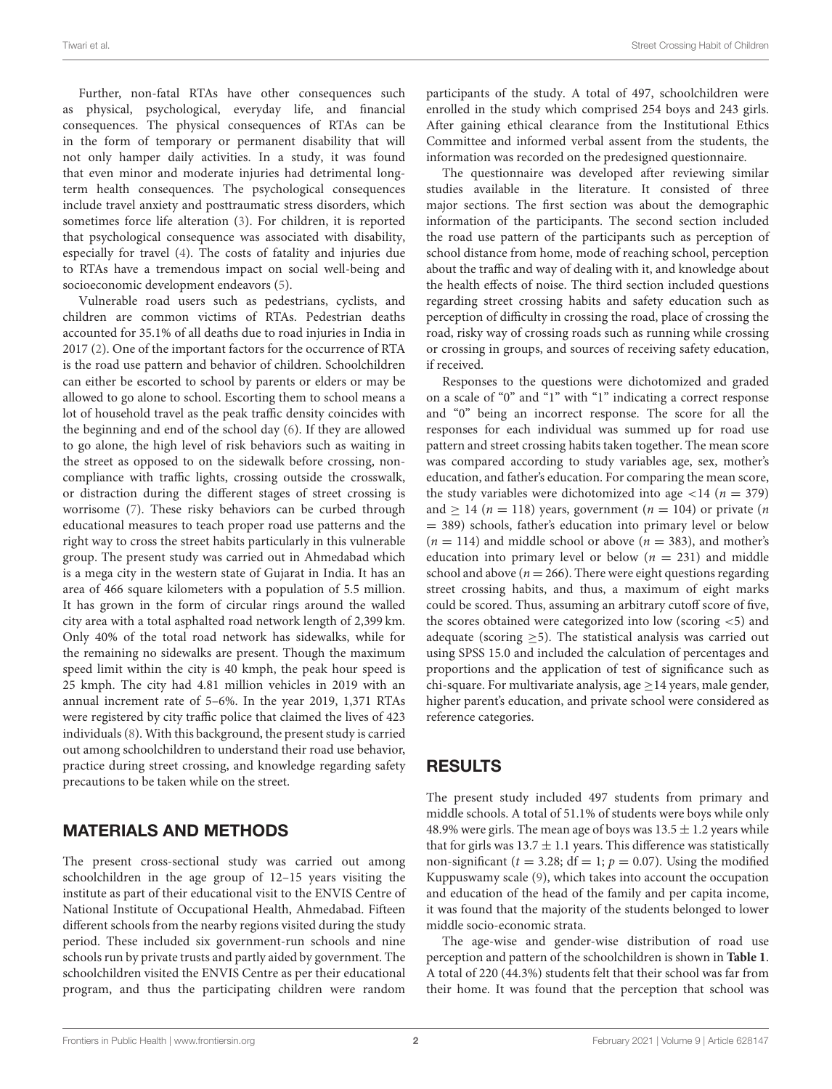Further, non-fatal RTAs have other consequences such as physical, psychological, everyday life, and financial consequences. The physical consequences of RTAs can be in the form of temporary or permanent disability that will not only hamper daily activities. In a study, it was found that even minor and moderate injuries had detrimental longterm health consequences. The psychological consequences include travel anxiety and posttraumatic stress disorders, which sometimes force life alteration [\(3\)](#page-5-2). For children, it is reported that psychological consequence was associated with disability, especially for travel [\(4\)](#page-5-3). The costs of fatality and injuries due to RTAs have a tremendous impact on social well-being and socioeconomic development endeavors [\(5\)](#page-5-4).

Vulnerable road users such as pedestrians, cyclists, and children are common victims of RTAs. Pedestrian deaths accounted for 35.1% of all deaths due to road injuries in India in 2017 [\(2\)](#page-5-1). One of the important factors for the occurrence of RTA is the road use pattern and behavior of children. Schoolchildren can either be escorted to school by parents or elders or may be allowed to go alone to school. Escorting them to school means a lot of household travel as the peak traffic density coincides with the beginning and end of the school day [\(6\)](#page-5-5). If they are allowed to go alone, the high level of risk behaviors such as waiting in the street as opposed to on the sidewalk before crossing, noncompliance with traffic lights, crossing outside the crosswalk, or distraction during the different stages of street crossing is worrisome [\(7\)](#page-5-6). These risky behaviors can be curbed through educational measures to teach proper road use patterns and the right way to cross the street habits particularly in this vulnerable group. The present study was carried out in Ahmedabad which is a mega city in the western state of Gujarat in India. It has an area of 466 square kilometers with a population of 5.5 million. It has grown in the form of circular rings around the walled city area with a total asphalted road network length of 2,399 km. Only 40% of the total road network has sidewalks, while for the remaining no sidewalks are present. Though the maximum speed limit within the city is 40 kmph, the peak hour speed is 25 kmph. The city had 4.81 million vehicles in 2019 with an annual increment rate of 5–6%. In the year 2019, 1,371 RTAs were registered by city traffic police that claimed the lives of 423 individuals [\(8\)](#page-6-0). With this background, the present study is carried out among schoolchildren to understand their road use behavior, practice during street crossing, and knowledge regarding safety precautions to be taken while on the street.

## MATERIALS AND METHODS

The present cross-sectional study was carried out among schoolchildren in the age group of 12–15 years visiting the institute as part of their educational visit to the ENVIS Centre of National Institute of Occupational Health, Ahmedabad. Fifteen different schools from the nearby regions visited during the study period. These included six government-run schools and nine schools run by private trusts and partly aided by government. The schoolchildren visited the ENVIS Centre as per their educational program, and thus the participating children were random participants of the study. A total of 497, schoolchildren were enrolled in the study which comprised 254 boys and 243 girls. After gaining ethical clearance from the Institutional Ethics Committee and informed verbal assent from the students, the information was recorded on the predesigned questionnaire.

The questionnaire was developed after reviewing similar studies available in the literature. It consisted of three major sections. The first section was about the demographic information of the participants. The second section included the road use pattern of the participants such as perception of school distance from home, mode of reaching school, perception about the traffic and way of dealing with it, and knowledge about the health effects of noise. The third section included questions regarding street crossing habits and safety education such as perception of difficulty in crossing the road, place of crossing the road, risky way of crossing roads such as running while crossing or crossing in groups, and sources of receiving safety education, if received.

Responses to the questions were dichotomized and graded on a scale of "0" and "1" with "1" indicating a correct response and "0" being an incorrect response. The score for all the responses for each individual was summed up for road use pattern and street crossing habits taken together. The mean score was compared according to study variables age, sex, mother's education, and father's education. For comparing the mean score, the study variables were dichotomized into age  $\langle 14 \rangle$  ( $n = 379$ ) and  $\geq$  14 (*n* = 118) years, government (*n* = 104) or private (*n* = 389) schools, father's education into primary level or below  $(n = 114)$  and middle school or above  $(n = 383)$ , and mother's education into primary level or below ( $n = 231$ ) and middle school and above ( $n = 266$ ). There were eight questions regarding street crossing habits, and thus, a maximum of eight marks could be scored. Thus, assuming an arbitrary cutoff score of five, the scores obtained were categorized into low (scoring <5) and adequate (scoring  $\geq$ 5). The statistical analysis was carried out using SPSS 15.0 and included the calculation of percentages and proportions and the application of test of significance such as chi-square. For multivariate analysis, age  $\geq$  14 years, male gender, higher parent's education, and private school were considered as reference categories.

### RESULTS

The present study included 497 students from primary and middle schools. A total of 51.1% of students were boys while only 48.9% were girls. The mean age of boys was  $13.5 \pm 1.2$  years while that for girls was  $13.7 \pm 1.1$  years. This difference was statistically non-significant ( $t = 3.28$ ; df = 1;  $p = 0.07$ ). Using the modified Kuppuswamy scale [\(9\)](#page-6-1), which takes into account the occupation and education of the head of the family and per capita income, it was found that the majority of the students belonged to lower middle socio-economic strata.

The age-wise and gender-wise distribution of road use perception and pattern of the schoolchildren is shown in **[Table 1](#page-2-0)**. A total of 220 (44.3%) students felt that their school was far from their home. It was found that the perception that school was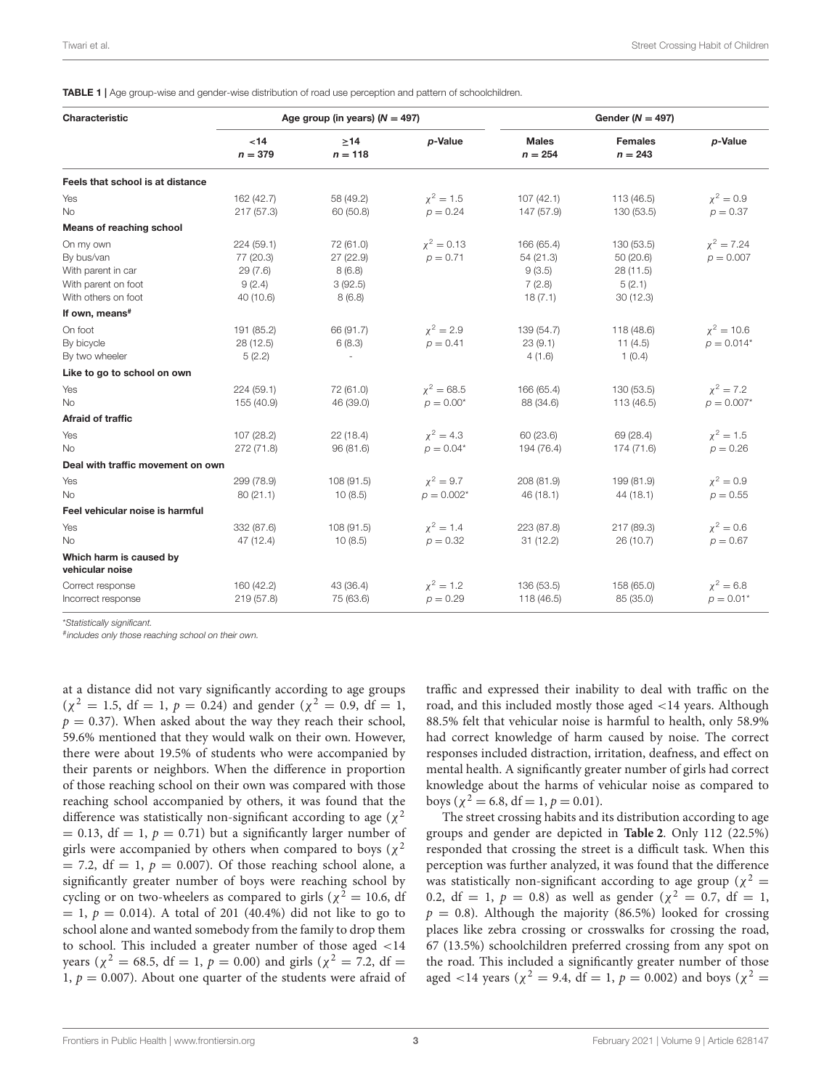<span id="page-2-0"></span>TABLE 1 | Age group-wise and gender-wise distribution of road use perception and pattern of schoolchildren.

| Characteristic                                                                              |                                                           | Age group (in years) ( $N = 497$ )                    |                                 |                                                        | Gender ( $N = 497$ )                                     |                                 |  |
|---------------------------------------------------------------------------------------------|-----------------------------------------------------------|-------------------------------------------------------|---------------------------------|--------------------------------------------------------|----------------------------------------------------------|---------------------------------|--|
|                                                                                             | <14<br>$n = 379$                                          | >14<br>$n = 118$                                      | p-Value                         | <b>Males</b><br>$n = 254$                              | <b>Females</b><br>$n = 243$                              | p-Value                         |  |
| Feels that school is at distance                                                            |                                                           |                                                       |                                 |                                                        |                                                          |                                 |  |
| Yes<br>No                                                                                   | 162 (42.7)<br>217(57.3)                                   | 58 (49.2)<br>60 (50.8)                                | $x^2 = 1.5$<br>$p = 0.24$       | 107(42.1)<br>147 (57.9)                                | 113(46.5)<br>130(53.5)                                   | $\chi^2 = 0.9$<br>$p = 0.37$    |  |
| Means of reaching school                                                                    |                                                           |                                                       |                                 |                                                        |                                                          |                                 |  |
| On my own<br>By bus/van<br>With parent in car<br>With parent on foot<br>With others on foot | 224 (59.1)<br>77 (20.3)<br>29(7.6)<br>9(2.4)<br>40 (10.6) | 72 (61.0)<br>27 (22.9)<br>8(6.8)<br>3(92.5)<br>8(6.8) | $\chi^2 = 0.13$<br>$p = 0.71$   | 166 (65.4)<br>54 (21.3)<br>9(3.5)<br>7(2.8)<br>18(7.1) | 130 (53.5)<br>50(20.6)<br>28(11.5)<br>5(2.1)<br>30(12.3) | $\chi^2 = 7.24$<br>$p = 0.007$  |  |
| If own, means <sup>#</sup>                                                                  |                                                           |                                                       |                                 |                                                        |                                                          |                                 |  |
| On foot<br>By bicycle<br>By two wheeler                                                     | 191 (85.2)<br>28 (12.5)<br>5(2.2)                         | 66 (91.7)<br>6(8.3)                                   | $x^2 = 2.9$<br>$p = 0.41$       | 139 (54.7)<br>23(9.1)<br>4(1.6)                        | 118 (48.6)<br>11(4.5)<br>1(0.4)                          | $\chi^2 = 10.6$<br>$p = 0.014*$ |  |
| Like to go to school on own                                                                 |                                                           |                                                       |                                 |                                                        |                                                          |                                 |  |
| Yes<br>No                                                                                   | 224(59.1)<br>155 (40.9)                                   | 72 (61.0)<br>46 (39.0)                                | $\chi^2 = 68.5$<br>$p = 0.00^*$ | 166 (65.4)<br>88 (34.6)                                | 130 (53.5)<br>113 (46.5)                                 | $x^2 = 7.2$<br>$p = 0.007*$     |  |
| Afraid of traffic                                                                           |                                                           |                                                       |                                 |                                                        |                                                          |                                 |  |
| Yes<br><b>No</b>                                                                            | 107 (28.2)<br>272 (71.8)                                  | 22 (18.4)<br>96(81.6)                                 | $x^2 = 4.3$<br>$p = 0.04*$      | 60 (23.6)<br>194 (76.4)                                | 69 (28.4)<br>174 (71.6)                                  | $x^2 = 1.5$<br>$p = 0.26$       |  |
| Deal with traffic movement on own                                                           |                                                           |                                                       |                                 |                                                        |                                                          |                                 |  |
| Yes<br>No                                                                                   | 299 (78.9)<br>80(21.1)                                    | 108(91.5)<br>10(8.5)                                  | $x^2 = 9.7$<br>$p = 0.002^*$    | 208 (81.9)<br>46(18.1)                                 | 199 (81.9)<br>44(18.1)                                   | $x^2 = 0.9$<br>$p = 0.55$       |  |
| Feel vehicular noise is harmful                                                             |                                                           |                                                       |                                 |                                                        |                                                          |                                 |  |
| Yes<br>No                                                                                   | 332 (87.6)<br>47 (12.4)                                   | 108 (91.5)<br>10(8.5)                                 | $\chi^2 = 1.4$<br>$p = 0.32$    | 223 (87.8)<br>31(12.2)                                 | 217 (89.3)<br>26(10.7)                                   | $\chi^2 = 0.6$<br>$p = 0.67$    |  |
| Which harm is caused by<br>vehicular noise                                                  |                                                           |                                                       |                                 |                                                        |                                                          |                                 |  |
| Correct response<br>Incorrect response                                                      | 160 (42.2)<br>219(57.8)                                   | 43 (36.4)<br>75 (63.6)                                | $x^2 = 1.2$<br>$p = 0.29$       | 136 (53.5)<br>118 (46.5)                               | 158 (65.0)<br>85 (35.0)                                  | $x^2 = 6.8$<br>$p = 0.01*$      |  |

\**Statistically significant.*

# *includes only those reaching school on their own.*

at a distance did not vary significantly according to age groups  $(\chi^2 = 1.5, df = 1, p = 0.24)$  and gender  $(\chi^2 = 0.9, df = 1,$  $p = 0.37$ ). When asked about the way they reach their school, 59.6% mentioned that they would walk on their own. However, there were about 19.5% of students who were accompanied by their parents or neighbors. When the difference in proportion of those reaching school on their own was compared with those reaching school accompanied by others, it was found that the difference was statistically non-significant according to age ( $\chi^2$  $= 0.13$ , df  $= 1$ ,  $p = 0.71$ ) but a significantly larger number of girls were accompanied by others when compared to boys ( $\chi^2$  $= 7.2$ , df  $= 1$ ,  $p = 0.007$ ). Of those reaching school alone, a significantly greater number of boys were reaching school by cycling or on two-wheelers as compared to girls ( $\chi^2 = 10.6$ , df  $= 1, p = 0.014$ ). A total of 201 (40.4%) did not like to go to school alone and wanted somebody from the family to drop them to school. This included a greater number of those aged <14 years ( $\chi^2 = 68.5$ , df = 1,  $p = 0.00$ ) and girls ( $\chi^2 = 7.2$ , df = 1,  $p = 0.007$ ). About one quarter of the students were afraid of traffic and expressed their inability to deal with traffic on the road, and this included mostly those aged <14 years. Although 88.5% felt that vehicular noise is harmful to health, only 58.9% had correct knowledge of harm caused by noise. The correct responses included distraction, irritation, deafness, and effect on mental health. A significantly greater number of girls had correct knowledge about the harms of vehicular noise as compared to boys ( $\chi^2 = 6.8$ , df = 1,  $p = 0.01$ ).

The street crossing habits and its distribution according to age groups and gender are depicted in **[Table 2](#page-3-0)**. Only 112 (22.5%) responded that crossing the street is a difficult task. When this perception was further analyzed, it was found that the difference was statistically non-significant according to age group ( $\chi^2$  = 0.2, df = 1,  $p = 0.8$ ) as well as gender ( $\chi^2 = 0.7$ , df = 1,  $p = 0.8$ ). Although the majority (86.5%) looked for crossing places like zebra crossing or crosswalks for crossing the road, 67 (13.5%) schoolchildren preferred crossing from any spot on the road. This included a significantly greater number of those aged <14 years ( $\chi^2$  = 9.4, df = 1, p = 0.002) and boys ( $\chi^2$  =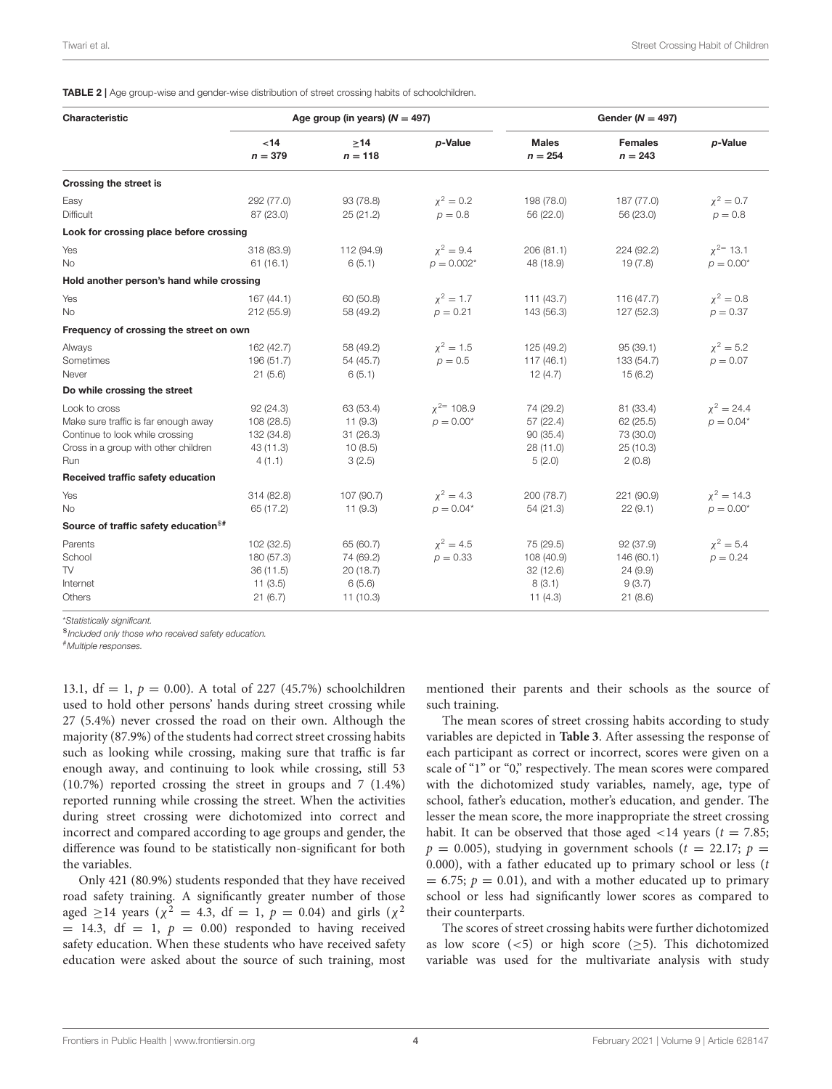<span id="page-3-0"></span>TABLE 2 | Age group-wise and gender-wise distribution of street crossing habits of schoolchildren.

| Characteristic                                                                                                                          | Age group (in years) $(N = 497)$                            |                                                          |                               | Gender ( $N = 497$ )                                       |                                                           |                                 |
|-----------------------------------------------------------------------------------------------------------------------------------------|-------------------------------------------------------------|----------------------------------------------------------|-------------------------------|------------------------------------------------------------|-----------------------------------------------------------|---------------------------------|
|                                                                                                                                         | ~14<br>$n = 379$                                            | >14<br>$n = 118$                                         | p-Value                       | <b>Males</b><br>$n = 254$                                  | <b>Females</b><br>$n = 243$                               | p-Value                         |
| Crossing the street is                                                                                                                  |                                                             |                                                          |                               |                                                            |                                                           |                                 |
| Easy<br>Difficult                                                                                                                       | 292 (77.0)<br>87 (23.0)                                     | 93 (78.8)<br>25(21.2)                                    | $x^2 = 0.2$<br>$p = 0.8$      | 198 (78.0)<br>56 (22.0)                                    | 187 (77.0)<br>56 (23.0)                                   | $\chi^2 = 0.7$<br>$p = 0.8$     |
| Look for crossing place before crossing                                                                                                 |                                                             |                                                          |                               |                                                            |                                                           |                                 |
| Yes<br>No                                                                                                                               | 318 (83.9)<br>61(16.1)                                      | 112 (94.9)<br>6(5.1)                                     | $x^2 = 9.4$<br>$p = 0.002^*$  | 206 (81.1)<br>48 (18.9)                                    | 224 (92.2)<br>19(7.8)                                     | $x^{2=13.1}$<br>$p = 0.00^*$    |
| Hold another person's hand while crossing                                                                                               |                                                             |                                                          |                               |                                                            |                                                           |                                 |
| Yes<br><b>No</b>                                                                                                                        | 167(44.1)<br>212 (55.9)                                     | 60 (50.8)<br>58 (49.2)                                   | $x^2 = 1.7$<br>$p = 0.21$     | 111(43.7)<br>143 (56.3)                                    | 116(47.7)<br>127 (52.3)                                   | $\chi^2 = 0.8$<br>$p = 0.37$    |
| Frequency of crossing the street on own                                                                                                 |                                                             |                                                          |                               |                                                            |                                                           |                                 |
| Always<br>Sometimes<br>Never                                                                                                            | 162 (42.7)<br>196 (51.7)<br>21(5.6)                         | 58 (49.2)<br>54 (45.7)<br>6(5.1)                         | $\chi^2 = 1.5$<br>$p = 0.5$   | 125 (49.2)<br>117(46.1)<br>12(4.7)                         | 95(39.1)<br>133 (54.7)<br>15(6.2)                         | $x^2 = 5.2$<br>$p = 0.07$       |
| Do while crossing the street                                                                                                            |                                                             |                                                          |                               |                                                            |                                                           |                                 |
| Look to cross<br>Make sure traffic is far enough away<br>Continue to look while crossing<br>Cross in a group with other children<br>Run | 92(24.3)<br>108 (28.5)<br>132 (34.8)<br>43 (11.3)<br>4(1.1) | 63 (53.4)<br>11(9.3)<br>31(26.3)<br>10(8.5)<br>3(2.5)    | $x^{2=108.9}$<br>$p = 0.00^*$ | 74 (29.2)<br>57 (22.4)<br>90 (35.4)<br>28 (11.0)<br>5(2.0) | 81 (33.4)<br>62 (25.5)<br>73 (30.0)<br>25(10.3)<br>2(0.8) | $x^2 = 24.4$<br>$p = 0.04*$     |
| Received traffic safety education                                                                                                       |                                                             |                                                          |                               |                                                            |                                                           |                                 |
| Yes<br>No                                                                                                                               | 314 (82.8)<br>65 (17.2)                                     | 107 (90.7)<br>11(9.3)                                    | $x^2 = 4.3$<br>$p = 0.04*$    | 200 (78.7)<br>54(21.3)                                     | 221 (90.9)<br>22(9.1)                                     | $\chi^2 = 14.3$<br>$p = 0.00^*$ |
| Source of traffic safety education <sup>\$#</sup>                                                                                       |                                                             |                                                          |                               |                                                            |                                                           |                                 |
| Parents<br>School<br><b>TV</b><br>Internet<br>Others                                                                                    | 102 (32.5)<br>180 (57.3)<br>36(11.5)<br>11(3.5)<br>21(6.7)  | 65 (60.7)<br>74 (69.2)<br>20(18.7)<br>6(5.6)<br>11(10.3) | $\chi^2 = 4.5$<br>$p = 0.33$  | 75 (29.5)<br>108 (40.9)<br>32(12.6)<br>8(3.1)<br>11(4.3)   | 92(37.9)<br>146 (60.1)<br>24(9.9)<br>9(3.7)<br>21(8.6)    | $\chi^2 = 5.4$<br>$p = 0.24$    |

\**Statistically significant.*

\$*Included only those who received safety education.*

#*Multiple responses.*

13.1, df = 1,  $p = 0.00$ ). A total of 227 (45.7%) schoolchildren used to hold other persons' hands during street crossing while 27 (5.4%) never crossed the road on their own. Although the majority (87.9%) of the students had correct street crossing habits such as looking while crossing, making sure that traffic is far enough away, and continuing to look while crossing, still 53 (10.7%) reported crossing the street in groups and 7 (1.4%) reported running while crossing the street. When the activities during street crossing were dichotomized into correct and incorrect and compared according to age groups and gender, the difference was found to be statistically non-significant for both the variables.

Only 421 (80.9%) students responded that they have received road safety training. A significantly greater number of those aged  $\geq$ 14 years ( $\chi^2 = 4.3$ , df = 1,  $p = 0.04$ ) and girls ( $\chi^2$  $= 14.3$ , df  $= 1$ ,  $p = 0.00$ ) responded to having received safety education. When these students who have received safety education were asked about the source of such training, most mentioned their parents and their schools as the source of such training.

The mean scores of street crossing habits according to study variables are depicted in **[Table 3](#page-4-0)**. After assessing the response of each participant as correct or incorrect, scores were given on a scale of "1" or "0," respectively. The mean scores were compared with the dichotomized study variables, namely, age, type of school, father's education, mother's education, and gender. The lesser the mean score, the more inappropriate the street crossing habit. It can be observed that those aged  $\langle 14 \rangle$  years (t = 7.85;  $p = 0.005$ ), studying in government schools ( $t = 22.17$ ;  $p =$ 0.000), with a father educated up to primary school or less  $(t)$  $= 6.75$ ;  $p = 0.01$ ), and with a mother educated up to primary school or less had significantly lower scores as compared to their counterparts.

The scores of street crossing habits were further dichotomized as low score  $(<5)$  or high score  $(\geq 5)$ . This dichotomized variable was used for the multivariate analysis with study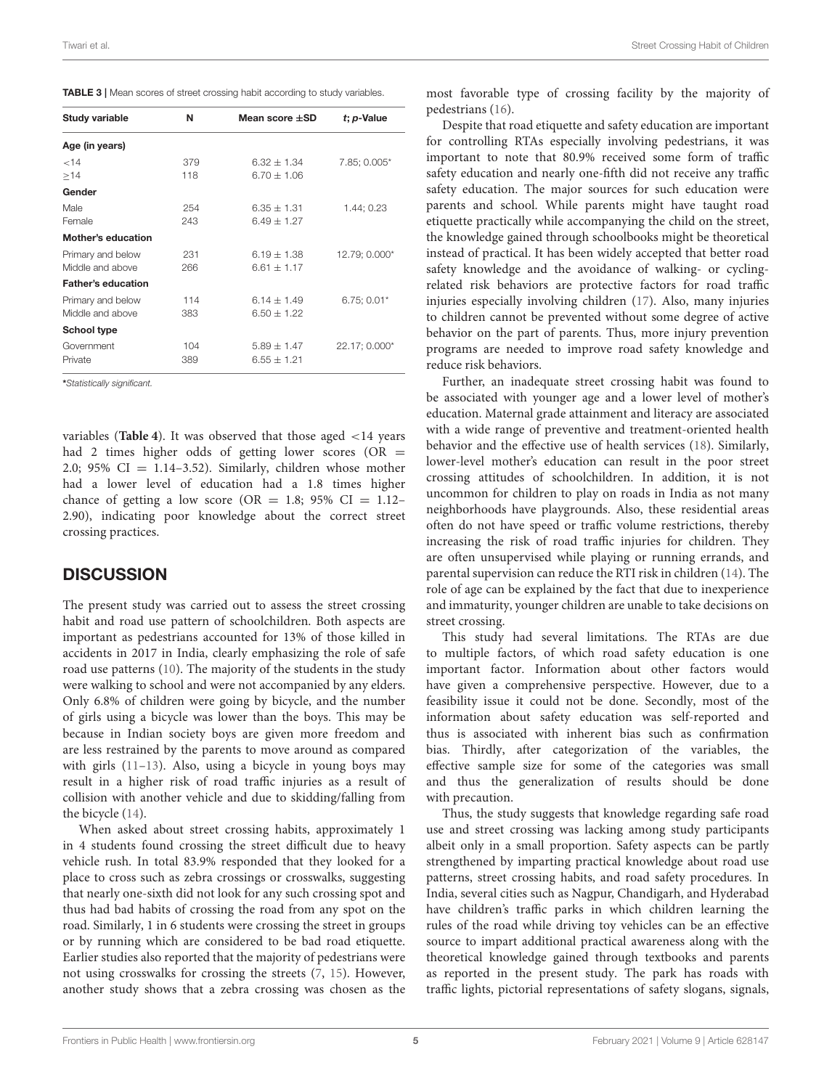<span id="page-4-0"></span>

| Study variable            | N   | Mean score $\pm$ SD | $t$ ; $p$ -Value |
|---------------------------|-----|---------------------|------------------|
| Age (in years)            |     |                     |                  |
| 14                        | 379 | $6.32 + 1.34$       | 7.85; 0.005*     |
| >14                       | 118 | $6.70 \pm 1.06$     |                  |
| Gender                    |     |                     |                  |
| Male                      | 254 | $6.35 \pm 1.31$     | 1.44; 0.23       |
| Female                    | 243 | $6.49 + 1.27$       |                  |
| <b>Mother's education</b> |     |                     |                  |
| Primary and below         | 231 | $6.19 \pm 1.38$     | 12.79; 0.000*    |
| Middle and above          | 266 | $6.61 \pm 1.17$     |                  |
| <b>Father's education</b> |     |                     |                  |
| Primary and below         | 114 | $6.14 + 1.49$       | $6.75:0.01*$     |
| Middle and above          | 383 | $6.50 \pm 1.22$     |                  |
| School type               |     |                     |                  |
| Government                | 104 | $5.89 \pm 1.47$     | 22.17; 0.000*    |
| Private                   | 389 | $6.55 \pm 1.21$     |                  |

\**Statistically significant.*

variables (**[Table 4](#page-5-7)**). It was observed that those aged <14 years had 2 times higher odds of getting lower scores (OR  $=$ 2.0; 95%  $CI = 1.14-3.52$ ). Similarly, children whose mother had a lower level of education had a 1.8 times higher chance of getting a low score (OR = 1.8; 95% CI = 1.12– 2.90), indicating poor knowledge about the correct street crossing practices.

### **DISCUSSION**

The present study was carried out to assess the street crossing habit and road use pattern of schoolchildren. Both aspects are important as pedestrians accounted for 13% of those killed in accidents in 2017 in India, clearly emphasizing the role of safe road use patterns [\(10\)](#page-6-2). The majority of the students in the study were walking to school and were not accompanied by any elders. Only 6.8% of children were going by bicycle, and the number of girls using a bicycle was lower than the boys. This may be because in Indian society boys are given more freedom and are less restrained by the parents to move around as compared with girls [\(11](#page-6-3)[–13\)](#page-6-4). Also, using a bicycle in young boys may result in a higher risk of road traffic injuries as a result of collision with another vehicle and due to skidding/falling from the bicycle [\(14\)](#page-6-5).

When asked about street crossing habits, approximately 1 in 4 students found crossing the street difficult due to heavy vehicle rush. In total 83.9% responded that they looked for a place to cross such as zebra crossings or crosswalks, suggesting that nearly one-sixth did not look for any such crossing spot and thus had bad habits of crossing the road from any spot on the road. Similarly, 1 in 6 students were crossing the street in groups or by running which are considered to be bad road etiquette. Earlier studies also reported that the majority of pedestrians were not using crosswalks for crossing the streets [\(7,](#page-5-6) [15\)](#page-6-6). However, another study shows that a zebra crossing was chosen as the most favorable type of crossing facility by the majority of pedestrians [\(16\)](#page-6-7).

Despite that road etiquette and safety education are important for controlling RTAs especially involving pedestrians, it was important to note that 80.9% received some form of traffic safety education and nearly one-fifth did not receive any traffic safety education. The major sources for such education were parents and school. While parents might have taught road etiquette practically while accompanying the child on the street, the knowledge gained through schoolbooks might be theoretical instead of practical. It has been widely accepted that better road safety knowledge and the avoidance of walking- or cyclingrelated risk behaviors are protective factors for road traffic injuries especially involving children [\(17\)](#page-6-8). Also, many injuries to children cannot be prevented without some degree of active behavior on the part of parents. Thus, more injury prevention programs are needed to improve road safety knowledge and reduce risk behaviors.

Further, an inadequate street crossing habit was found to be associated with younger age and a lower level of mother's education. Maternal grade attainment and literacy are associated with a wide range of preventive and treatment-oriented health behavior and the effective use of health services [\(18\)](#page-6-9). Similarly, lower-level mother's education can result in the poor street crossing attitudes of schoolchildren. In addition, it is not uncommon for children to play on roads in India as not many neighborhoods have playgrounds. Also, these residential areas often do not have speed or traffic volume restrictions, thereby increasing the risk of road traffic injuries for children. They are often unsupervised while playing or running errands, and parental supervision can reduce the RTI risk in children [\(14\)](#page-6-5). The role of age can be explained by the fact that due to inexperience and immaturity, younger children are unable to take decisions on street crossing.

This study had several limitations. The RTAs are due to multiple factors, of which road safety education is one important factor. Information about other factors would have given a comprehensive perspective. However, due to a feasibility issue it could not be done. Secondly, most of the information about safety education was self-reported and thus is associated with inherent bias such as confirmation bias. Thirdly, after categorization of the variables, the effective sample size for some of the categories was small and thus the generalization of results should be done with precaution.

Thus, the study suggests that knowledge regarding safe road use and street crossing was lacking among study participants albeit only in a small proportion. Safety aspects can be partly strengthened by imparting practical knowledge about road use patterns, street crossing habits, and road safety procedures. In India, several cities such as Nagpur, Chandigarh, and Hyderabad have children's traffic parks in which children learning the rules of the road while driving toy vehicles can be an effective source to impart additional practical awareness along with the theoretical knowledge gained through textbooks and parents as reported in the present study. The park has roads with traffic lights, pictorial representations of safety slogans, signals,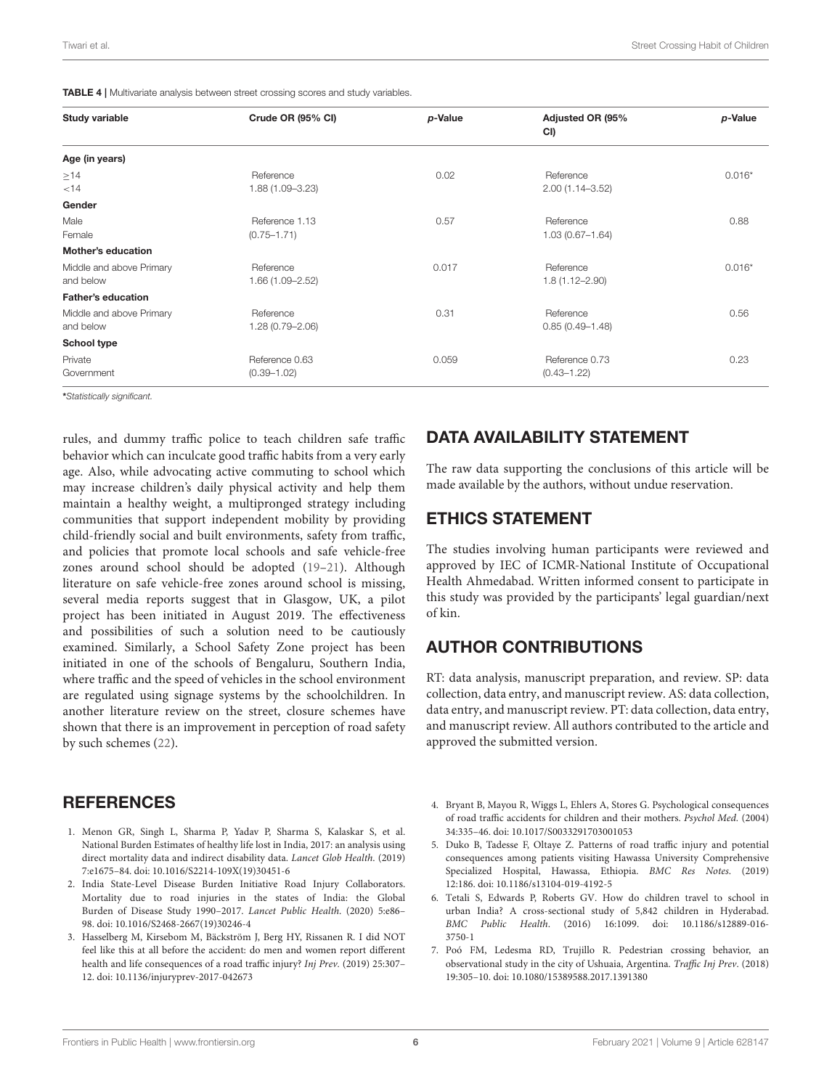<span id="page-5-7"></span>TABLE 4 | Multivariate analysis between street crossing scores and study variables.

| Study variable                        | Crude OR (95% CI)                 | p-Value | Adjusted OR (95%<br>CI)           | p-Value  |
|---------------------------------------|-----------------------------------|---------|-----------------------------------|----------|
| Age (in years)                        |                                   |         |                                   |          |
| $\geq$ 14<br>< 14                     | Reference<br>1.88 (1.09-3.23)     | 0.02    | Reference<br>$2.00(1.14 - 3.52)$  | $0.016*$ |
| Gender                                |                                   |         |                                   |          |
| Male<br>Female                        | Reference 1.13<br>$(0.75 - 1.71)$ | 0.57    | Reference<br>$1.03(0.67 - 1.64)$  | 0.88     |
| <b>Mother's education</b>             |                                   |         |                                   |          |
| Middle and above Primary<br>and below | Reference<br>1.66 (1.09-2.52)     | 0.017   | Reference<br>$1.8(1.12 - 2.90)$   | $0.016*$ |
| <b>Father's education</b>             |                                   |         |                                   |          |
| Middle and above Primary<br>and below | Reference<br>1.28 (0.79-2.06)     | 0.31    | Reference<br>$0.85(0.49 - 1.48)$  | 0.56     |
| <b>School type</b>                    |                                   |         |                                   |          |
| Private<br>Government                 | Reference 0.63<br>$(0.39 - 1.02)$ | 0.059   | Reference 0.73<br>$(0.43 - 1.22)$ | 0.23     |

\**Statistically significant.*

rules, and dummy traffic police to teach children safe traffic behavior which can inculcate good traffic habits from a very early age. Also, while advocating active commuting to school which may increase children's daily physical activity and help them maintain a healthy weight, a multipronged strategy including communities that support independent mobility by providing child-friendly social and built environments, safety from traffic, and policies that promote local schools and safe vehicle-free zones around school should be adopted [\(19–](#page-6-10)[21\)](#page-6-11). Although literature on safe vehicle-free zones around school is missing, several media reports suggest that in Glasgow, UK, a pilot project has been initiated in August 2019. The effectiveness and possibilities of such a solution need to be cautiously examined. Similarly, a School Safety Zone project has been initiated in one of the schools of Bengaluru, Southern India, where traffic and the speed of vehicles in the school environment are regulated using signage systems by the schoolchildren. In another literature review on the street, closure schemes have shown that there is an improvement in perception of road safety by such schemes [\(22\)](#page-6-12).

### **REFERENCES**

- <span id="page-5-0"></span>1. Menon GR, Singh L, Sharma P, Yadav P, Sharma S, Kalaskar S, et al. National Burden Estimates of healthy life lost in India, 2017: an analysis using direct mortality data and indirect disability data. Lancet Glob Health. (2019) 7:e1675–84. doi: [10.1016/S2214-109X\(19\)30451-6](https://doi.org/10.1016/S2214-109X(19)30451-6)
- <span id="page-5-1"></span>2. India State-Level Disease Burden Initiative Road Injury Collaborators. Mortality due to road injuries in the states of India: the Global Burden of Disease Study 1990–2017. Lancet Public Health. (2020) 5:e86– 98. doi: [10.1016/S2468-2667\(19\)30246-4](https://doi.org/10.1016/S2468-2667(19)30246-4)
- <span id="page-5-2"></span>3. Hasselberg M, Kirsebom M, Bäckström J, Berg HY, Rissanen R. I did NOT feel like this at all before the accident: do men and women report different health and life consequences of a road traffic injury? Inj Prev. (2019) 25:307– 12. doi: [10.1136/injuryprev-2017-042673](https://doi.org/10.1136/injuryprev-2017-042673)

## DATA AVAILABILITY STATEMENT

The raw data supporting the conclusions of this article will be made available by the authors, without undue reservation.

## ETHICS STATEMENT

The studies involving human participants were reviewed and approved by IEC of ICMR-National Institute of Occupational Health Ahmedabad. Written informed consent to participate in this study was provided by the participants' legal guardian/next of kin.

## AUTHOR CONTRIBUTIONS

RT: data analysis, manuscript preparation, and review. SP: data collection, data entry, and manuscript review. AS: data collection, data entry, and manuscript review. PT: data collection, data entry, and manuscript review. All authors contributed to the article and approved the submitted version.

- <span id="page-5-3"></span>4. Bryant B, Mayou R, Wiggs L, Ehlers A, Stores G. Psychological consequences of road traffic accidents for children and their mothers. Psychol Med. (2004) 34:335–46. doi: [10.1017/S0033291703001053](https://doi.org/10.1017/S0033291703001053)
- <span id="page-5-4"></span>5. Duko B, Tadesse F, Oltaye Z. Patterns of road traffic injury and potential consequences among patients visiting Hawassa University Comprehensive Specialized Hospital, Hawassa, Ethiopia. BMC Res Notes. (2019) 12:186. doi: [10.1186/s13104-019-4192-5](https://doi.org/10.1186/s13104-019-4192-5)
- <span id="page-5-5"></span>6. Tetali S, Edwards P, Roberts GV. How do children travel to school in urban India? A cross-sectional study of 5,842 children in Hyderabad. BMC Public Health[. \(2016\) 16:1099. doi: 10.1186/s12889-016-](https://doi.org/10.1186/s12889-016-3750-1) 3750-1
- <span id="page-5-6"></span>7. Poó FM, Ledesma RD, Trujillo R. Pedestrian crossing behavior, an observational study in the city of Ushuaia, Argentina. Traffic Inj Prev. (2018) 19:305–10. doi: [10.1080/15389588.2017.1391380](https://doi.org/10.1080/15389588.2017.1391380)